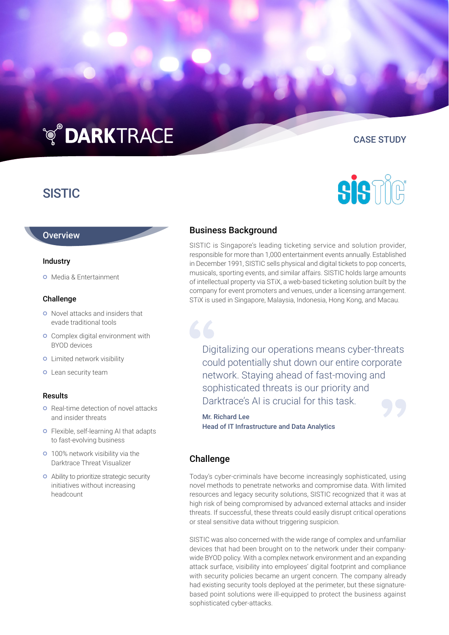# **TO DARKTRACE**

## **SISTIC**

#### **Overview**

#### Industry

 Media & Entertainment

#### Challenge

- **o** Novel attacks and insiders that evade traditional tools
- **o** Complex digital environment with BYOD devices
- **o** Limited network visibility
- **o** Lean security team

#### Results

- **o** Real-time detection of novel attacks and insider threats
- Flexible, self-learning AI that adapts to fast-evolving business
- **o** 100% network visibility via the Darktrace Threat Visualizer
- Ability to prioritize strategic security initiatives without increasing headcount

## Business Background

SISTIC is Singapore's leading ticketing service and solution provider, responsible for more than 1,000 entertainment events annually. Established in December 1991, SISTIC sells physical and digital tickets to pop concerts, musicals, sporting events, and similar affairs. SISTIC holds large amounts of intellectual property via STiX, a web-based ticketing solution built by the company for event promoters and venues, under a licensing arrangement. STiX is used in Singapore, Malaysia, Indonesia, Hong Kong, and Macau.

Digitalizing our operations means cyber-threats could potentially shut down our entire corporate network. Staying ahead of fast-moving and sophisticated threats is our priority and Darktrace's AI is crucial for this task.

Mr. Richard Lee Head of IT Infrastructure and Data Analytics

### Challenge

Today's cyber-criminals have become increasingly sophisticated, using novel methods to penetrate networks and compromise data. With limited resources and legacy security solutions, SISTIC recognized that it was at high risk of being compromised by advanced external attacks and insider threats. If successful, these threats could easily disrupt critical operations or steal sensitive data without triggering suspicion.

SISTIC was also concerned with the wide range of complex and unfamiliar devices that had been brought on to the network under their companywide BYOD policy. With a complex network environment and an expanding attack surface, visibility into employees' digital footprint and compliance with security policies became an urgent concern. The company already had existing security tools deployed at the perimeter, but these signaturebased point solutions were ill-equipped to protect the business against sophisticated cyber-attacks.



CASE STUDY